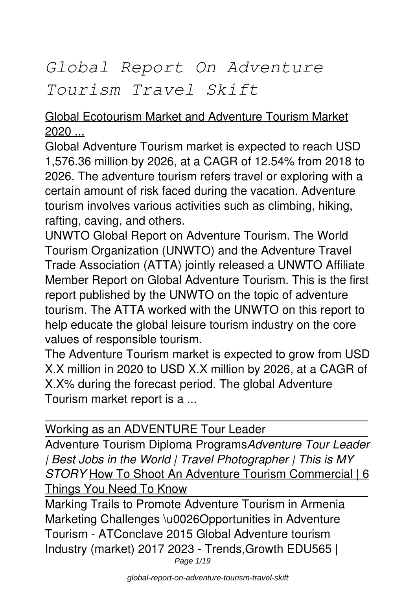# *Global Report On Adventure Tourism Travel Skift*

#### Global Ecotourism Market and Adventure Tourism Market 2020 ...

Global Adventure Tourism market is expected to reach USD 1,576.36 million by 2026, at a CAGR of 12.54% from 2018 to 2026. The adventure tourism refers travel or exploring with a certain amount of risk faced during the vacation. Adventure tourism involves various activities such as climbing, hiking, rafting, caving, and others.

UNWTO Global Report on Adventure Tourism. The World Tourism Organization (UNWTO) and the Adventure Travel Trade Association (ATTA) jointly released a UNWTO Affiliate Member Report on Global Adventure Tourism. This is the first report published by the UNWTO on the topic of adventure tourism. The ATTA worked with the UNWTO on this report to help educate the global leisure tourism industry on the core values of responsible tourism.

The Adventure Tourism market is expected to grow from USD X.X million in 2020 to USD X.X million by 2026, at a CAGR of X.X% during the forecast period. The global Adventure Tourism market report is a ...

Working as an ADVENTURE Tour Leader

Adventure Tourism Diploma Programs*Adventure Tour Leader | Best Jobs in the World | Travel Photographer | This is MY STORY* How To Shoot An Adventure Tourism Commercial | 6 Things You Need To Know

Marking Trails to Promote Adventure Tourism in Armenia Marketing Challenges \u0026Opportunities in Adventure Tourism - ATConclave 2015 Global Adventure tourism Industry (market) 2017 2023 - Trends,Growth EDU565 | Page  $1/19$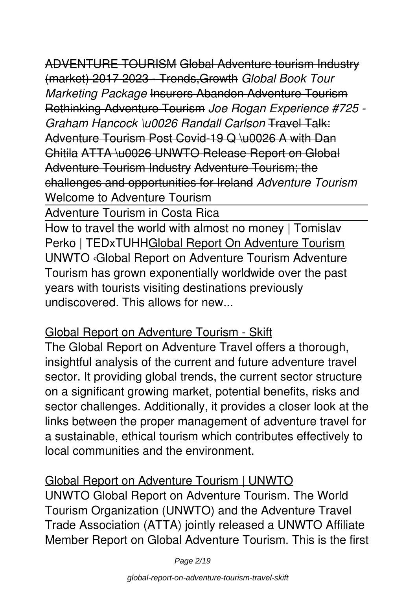ADVENTURE TOURISM Global Adventure tourism Industry (market) 2017 2023 - Trends,Growth *Global Book Tour Marketing Package* Insurers Abandon Adventure Tourism Rethinking Adventure Tourism *Joe Rogan Experience #725 - Graham Hancock \u0026 Randall Carlson* Travel Talk: Adventure Tourism Post Covid-19 Q \u0026 A with Dan Chitila ATTA \u0026 UNWTO Release Report on Global Adventure Tourism Industry Adventure Tourism; the challenges and opportunities for Ireland *Adventure Tourism* Welcome to Adventure Tourism

Adventure Tourism in Costa Rica

How to travel the world with almost no money | Tomislav Perko | TEDxTUHHGlobal Report On Adventure Tourism UNWTO ‹Global Report on Adventure Tourism Adventure Tourism has grown exponentially worldwide over the past years with tourists visiting destinations previously undiscovered. This allows for new.

#### Global Report on Adventure Tourism - Skift

The Global Report on Adventure Travel offers a thorough, insightful analysis of the current and future adventure travel sector. It providing global trends, the current sector structure on a significant growing market, potential benefits, risks and sector challenges. Additionally, it provides a closer look at the links between the proper management of adventure travel for a sustainable, ethical tourism which contributes effectively to local communities and the environment.

#### Global Report on Adventure Tourism | UNWTO

UNWTO Global Report on Adventure Tourism. The World Tourism Organization (UNWTO) and the Adventure Travel Trade Association (ATTA) jointly released a UNWTO Affiliate Member Report on Global Adventure Tourism. This is the first

Page 2/19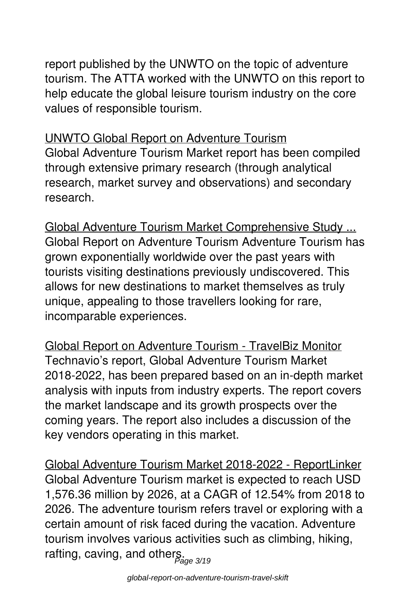report published by the UNWTO on the topic of adventure tourism. The ATTA worked with the UNWTO on this report to help educate the global leisure tourism industry on the core values of responsible tourism.

#### UNWTO Global Report on Adventure Tourism

Global Adventure Tourism Market report has been compiled through extensive primary research (through analytical research, market survey and observations) and secondary research.

Global Adventure Tourism Market Comprehensive Study ... Global Report on Adventure Tourism Adventure Tourism has grown exponentially worldwide over the past years with tourists visiting destinations previously undiscovered. This allows for new destinations to market themselves as truly unique, appealing to those travellers looking for rare, incomparable experiences.

Global Report on Adventure Tourism - TravelBiz Monitor Technavio's report, Global Adventure Tourism Market 2018-2022, has been prepared based on an in-depth market analysis with inputs from industry experts. The report covers the market landscape and its growth prospects over the coming years. The report also includes a discussion of the key vendors operating in this market.

Global Adventure Tourism Market 2018-2022 - ReportLinker Global Adventure Tourism market is expected to reach USD 1,576.36 million by 2026, at a CAGR of 12.54% from 2018 to 2026. The adventure tourism refers travel or exploring with a certain amount of risk faced during the vacation. Adventure tourism involves various activities such as climbing, hiking, rafting, caving, and others.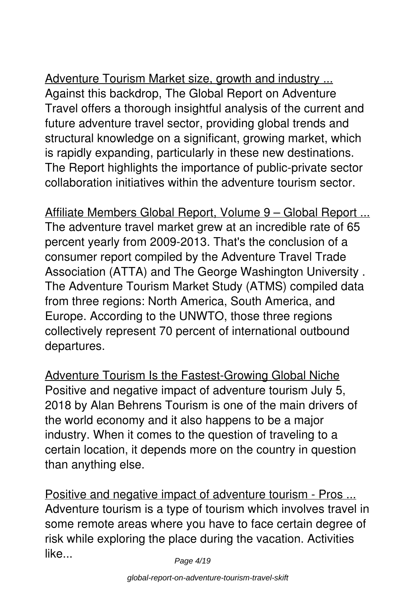Adventure Tourism Market size, growth and industry ... Against this backdrop, The Global Report on Adventure Travel offers a thorough insightful analysis of the current and future adventure travel sector, providing global trends and structural knowledge on a significant, growing market, which is rapidly expanding, particularly in these new destinations. The Report highlights the importance of public-private sector collaboration initiatives within the adventure tourism sector.

Affiliate Members Global Report, Volume 9 – Global Report ... The adventure travel market grew at an incredible rate of 65 percent yearly from 2009-2013. That's the conclusion of a consumer report compiled by the Adventure Travel Trade Association (ATTA) and The George Washington University . The Adventure Tourism Market Study (ATMS) compiled data from three regions: North America, South America, and Europe. According to the UNWTO, those three regions collectively represent 70 percent of international outbound departures.

Adventure Tourism Is the Fastest-Growing Global Niche Positive and negative impact of adventure tourism July 5, 2018 by Alan Behrens Tourism is one of the main drivers of the world economy and it also happens to be a major industry. When it comes to the question of traveling to a certain location, it depends more on the country in question than anything else.

Positive and negative impact of adventure tourism - Pros ... Adventure tourism is a type of tourism which involves travel in some remote areas where you have to face certain degree of risk while exploring the place during the vacation. Activities like...

Page 4/19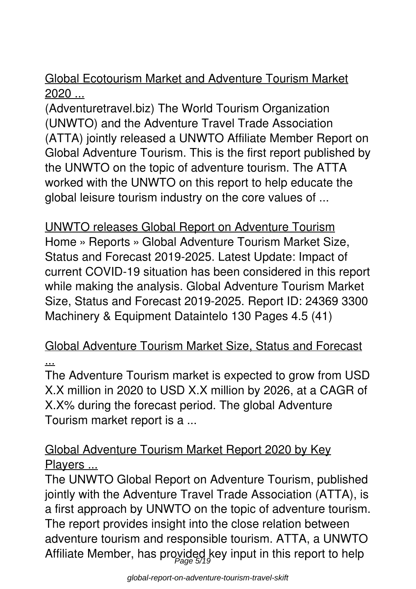#### Global Ecotourism Market and Adventure Tourism Market  $2020...$

(Adventuretravel.biz) The World Tourism Organization (UNWTO) and the Adventure Travel Trade Association (ATTA) jointly released a UNWTO Affiliate Member Report on Global Adventure Tourism. This is the first report published by the UNWTO on the topic of adventure tourism. The ATTA worked with the UNWTO on this report to help educate the global leisure tourism industry on the core values of ...

UNWTO releases Global Report on Adventure Tourism Home » Reports » Global Adventure Tourism Market Size, Status and Forecast 2019-2025. Latest Update: Impact of current COVID-19 situation has been considered in this report while making the analysis. Global Adventure Tourism Market Size, Status and Forecast 2019-2025. Report ID: 24369 3300 Machinery & Equipment Dataintelo 130 Pages 4.5 (41)

#### Global Adventure Tourism Market Size, Status and Forecast ...

The Adventure Tourism market is expected to grow from USD X.X million in 2020 to USD X.X million by 2026, at a CAGR of X.X% during the forecast period. The global Adventure Tourism market report is a ...

#### Global Adventure Tourism Market Report 2020 by Key Players ...

The UNWTO Global Report on Adventure Tourism, published jointly with the Adventure Travel Trade Association (ATTA), is a first approach by UNWTO on the topic of adventure tourism. The report provides insight into the close relation between adventure tourism and responsible tourism. ATTA, a UNWTO Affiliate Member, has proyided key input in this report to help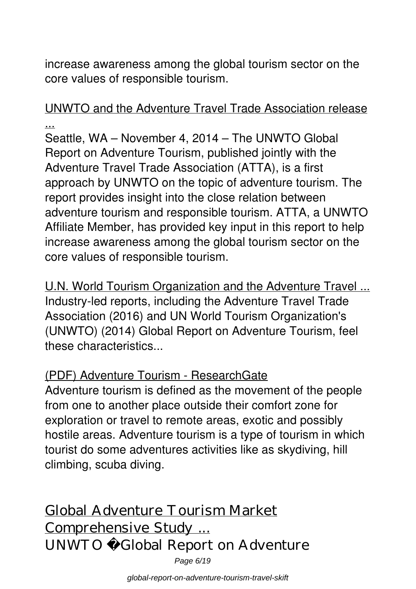increase awareness among the global tourism sector on the core values of responsible tourism.

UNWTO and the Adventure Travel Trade Association release ...

Seattle, WA – November 4, 2014 – The UNWTO Global Report on Adventure Tourism, published jointly with the Adventure Travel Trade Association (ATTA), is a first approach by UNWTO on the topic of adventure tourism. The report provides insight into the close relation between adventure tourism and responsible tourism. ATTA, a UNWTO Affiliate Member, has provided key input in this report to help increase awareness among the global tourism sector on the core values of responsible tourism.

U.N. World Tourism Organization and the Adventure Travel ... Industry-led reports, including the Adventure Travel Trade Association (2016) and UN World Tourism Organization's (UNWTO) (2014) Global Report on Adventure Tourism, feel these characteristics...

#### (PDF) Adventure Tourism - ResearchGate

Adventure tourism is defined as the movement of the people from one to another place outside their comfort zone for exploration or travel to remote areas, exotic and possibly hostile areas. Adventure tourism is a type of tourism in which tourist do some adventures activities like as skydiving, hill climbing, scuba diving.

Global Adventure Tourism Market Comprehensive Study ... UNWTO Global Report on Adventure Page 6/19

global-report-on-adventure-tourism-travel-skift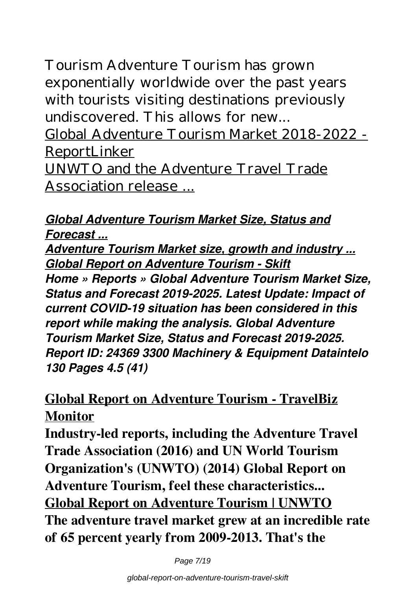Tourism Adventure Tourism has grown exponentially worldwide over the past years with tourists visiting destinations previously undiscovered. This allows for new...

Global Adventure Tourism Market 2018-2022 - ReportLinker

UNWTO and the Adventure Travel Trade Association release ...

#### *Global Adventure Tourism Market Size, Status and Forecast ...*

*Adventure Tourism Market size, growth and industry ... Global Report on Adventure Tourism - Skift Home » Reports » Global Adventure Tourism Market Size, Status and Forecast 2019-2025. Latest Update: Impact of current COVID-19 situation has been considered in this report while making the analysis. Global Adventure Tourism Market Size, Status and Forecast 2019-2025. Report ID: 24369 3300 Machinery & Equipment Dataintelo 130 Pages 4.5 (41)*

# **Global Report on Adventure Tourism - TravelBiz Monitor**

**Industry-led reports, including the Adventure Travel Trade Association (2016) and UN World Tourism Organization's (UNWTO) (2014) Global Report on Adventure Tourism, feel these characteristics... Global Report on Adventure Tourism | UNWTO The adventure travel market grew at an incredible rate of 65 percent yearly from 2009-2013. That's the**

Page 7/19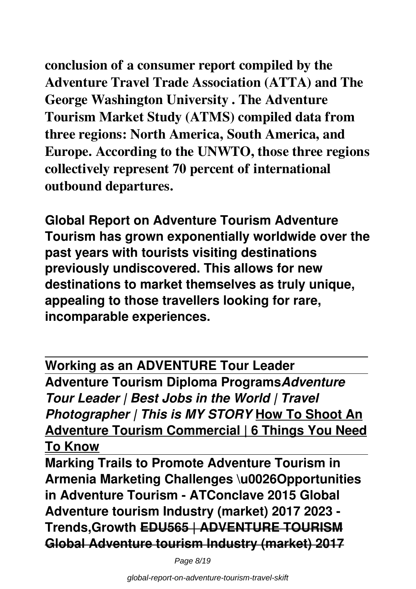**conclusion of a consumer report compiled by the Adventure Travel Trade Association (ATTA) and The George Washington University . The Adventure Tourism Market Study (ATMS) compiled data from three regions: North America, South America, and Europe. According to the UNWTO, those three regions collectively represent 70 percent of international outbound departures.**

**Global Report on Adventure Tourism Adventure Tourism has grown exponentially worldwide over the past years with tourists visiting destinations previously undiscovered. This allows for new destinations to market themselves as truly unique, appealing to those travellers looking for rare, incomparable experiences.**

**Working as an ADVENTURE Tour Leader Adventure Tourism Diploma Programs***Adventure Tour Leader | Best Jobs in the World | Travel Photographer | This is MY STORY* **How To Shoot An Adventure Tourism Commercial | 6 Things You Need To Know**

**Marking Trails to Promote Adventure Tourism in Armenia Marketing Challenges \u0026Opportunities in Adventure Tourism - ATConclave 2015 Global Adventure tourism Industry (market) 2017 2023 - Trends,Growth EDU565 | ADVENTURE TOURISM Global Adventure tourism Industry (market) 2017**

Page 8/19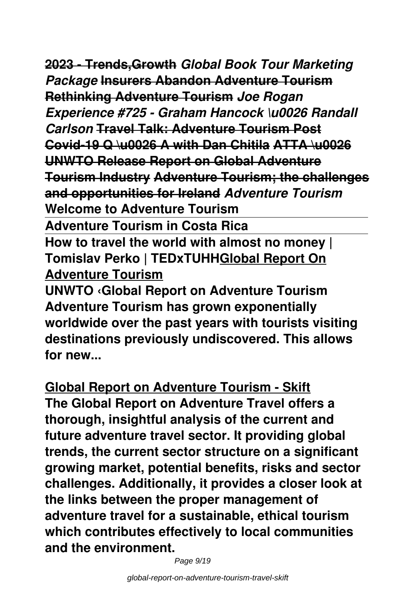**2023 - Trends,Growth** *Global Book Tour Marketing Package* **Insurers Abandon Adventure Tourism Rethinking Adventure Tourism** *Joe Rogan Experience #725 - Graham Hancock \u0026 Randall Carlson* **Travel Talk: Adventure Tourism Post Covid-19 Q \u0026 A with Dan Chitila ATTA \u0026 UNWTO Release Report on Global Adventure Tourism Industry Adventure Tourism; the challenges and opportunities for Ireland** *Adventure Tourism* **Welcome to Adventure Tourism Adventure Tourism in Costa Rica How to travel the world with almost no money | Tomislav Perko | TEDxTUHHGlobal Report On Adventure Tourism**

**UNWTO ‹Global Report on Adventure Tourism Adventure Tourism has grown exponentially worldwide over the past years with tourists visiting destinations previously undiscovered. This allows for new...**

**Global Report on Adventure Tourism - Skift The Global Report on Adventure Travel offers a thorough, insightful analysis of the current and future adventure travel sector. It providing global trends, the current sector structure on a significant growing market, potential benefits, risks and sector challenges. Additionally, it provides a closer look at the links between the proper management of adventure travel for a sustainable, ethical tourism which contributes effectively to local communities and the environment.**

Page 9/19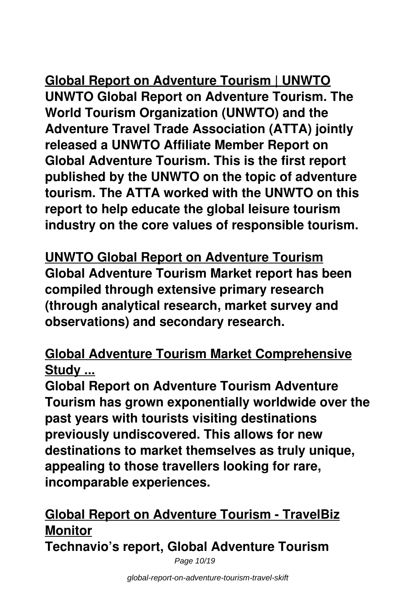# **Global Report on Adventure Tourism | UNWTO UNWTO Global Report on Adventure Tourism. The World Tourism Organization (UNWTO) and the Adventure Travel Trade Association (ATTA) jointly released a UNWTO Affiliate Member Report on Global Adventure Tourism. This is the first report published by the UNWTO on the topic of adventure tourism. The ATTA worked with the UNWTO on this report to help educate the global leisure tourism industry on the core values of responsible tourism.**

**UNWTO Global Report on Adventure Tourism Global Adventure Tourism Market report has been compiled through extensive primary research (through analytical research, market survey and observations) and secondary research.**

# **Global Adventure Tourism Market Comprehensive Study ...**

**Global Report on Adventure Tourism Adventure Tourism has grown exponentially worldwide over the past years with tourists visiting destinations previously undiscovered. This allows for new destinations to market themselves as truly unique, appealing to those travellers looking for rare, incomparable experiences.**

# **Global Report on Adventure Tourism - TravelBiz Monitor**

**Technavio's report, Global Adventure Tourism**

Page 10/19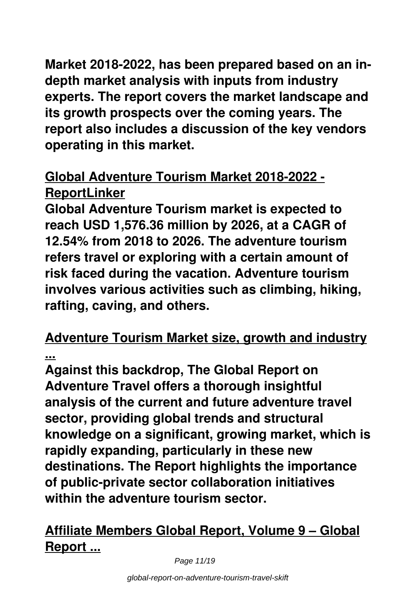**Market 2018-2022, has been prepared based on an indepth market analysis with inputs from industry experts. The report covers the market landscape and its growth prospects over the coming years. The report also includes a discussion of the key vendors operating in this market.**

# **Global Adventure Tourism Market 2018-2022 - ReportLinker**

**Global Adventure Tourism market is expected to reach USD 1,576.36 million by 2026, at a CAGR of 12.54% from 2018 to 2026. The adventure tourism refers travel or exploring with a certain amount of risk faced during the vacation. Adventure tourism involves various activities such as climbing, hiking, rafting, caving, and others.**

#### **Adventure Tourism Market size, growth and industry ...**

**Against this backdrop, The Global Report on Adventure Travel offers a thorough insightful analysis of the current and future adventure travel sector, providing global trends and structural knowledge on a significant, growing market, which is rapidly expanding, particularly in these new destinations. The Report highlights the importance of public-private sector collaboration initiatives within the adventure tourism sector.**

# **Affiliate Members Global Report, Volume 9 – Global Report ...**

Page 11/19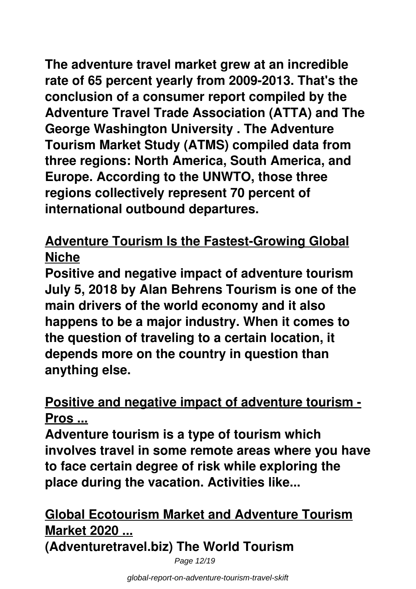**The adventure travel market grew at an incredible rate of 65 percent yearly from 2009-2013. That's the conclusion of a consumer report compiled by the Adventure Travel Trade Association (ATTA) and The George Washington University . The Adventure Tourism Market Study (ATMS) compiled data from three regions: North America, South America, and Europe. According to the UNWTO, those three regions collectively represent 70 percent of international outbound departures.**

# **Adventure Tourism Is the Fastest-Growing Global Niche**

**Positive and negative impact of adventure tourism July 5, 2018 by Alan Behrens Tourism is one of the main drivers of the world economy and it also happens to be a major industry. When it comes to the question of traveling to a certain location, it depends more on the country in question than anything else.**

# **Positive and negative impact of adventure tourism - Pros ...**

**Adventure tourism is a type of tourism which involves travel in some remote areas where you have to face certain degree of risk while exploring the place during the vacation. Activities like...**

# **Global Ecotourism Market and Adventure Tourism Market 2020 ...**

**(Adventuretravel.biz) The World Tourism**

Page 12/19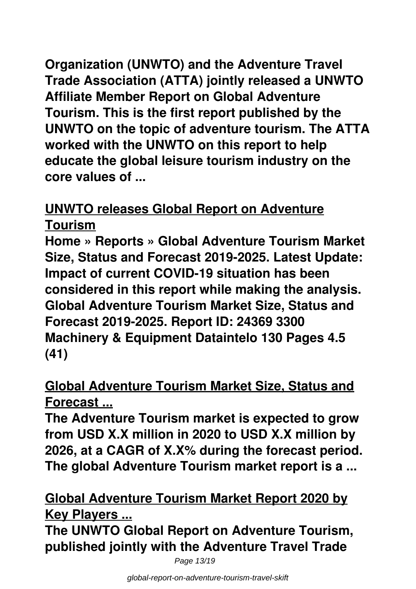**Organization (UNWTO) and the Adventure Travel Trade Association (ATTA) jointly released a UNWTO Affiliate Member Report on Global Adventure Tourism. This is the first report published by the UNWTO on the topic of adventure tourism. The ATTA worked with the UNWTO on this report to help educate the global leisure tourism industry on the core values of ...**

### **UNWTO releases Global Report on Adventure Tourism**

**Home » Reports » Global Adventure Tourism Market Size, Status and Forecast 2019-2025. Latest Update: Impact of current COVID-19 situation has been considered in this report while making the analysis. Global Adventure Tourism Market Size, Status and Forecast 2019-2025. Report ID: 24369 3300 Machinery & Equipment Dataintelo 130 Pages 4.5 (41)**

# **Global Adventure Tourism Market Size, Status and Forecast ...**

**The Adventure Tourism market is expected to grow from USD X.X million in 2020 to USD X.X million by 2026, at a CAGR of X.X% during the forecast period. The global Adventure Tourism market report is a ...**

# **Global Adventure Tourism Market Report 2020 by Key Players ...**

**The UNWTO Global Report on Adventure Tourism, published jointly with the Adventure Travel Trade**

Page 13/19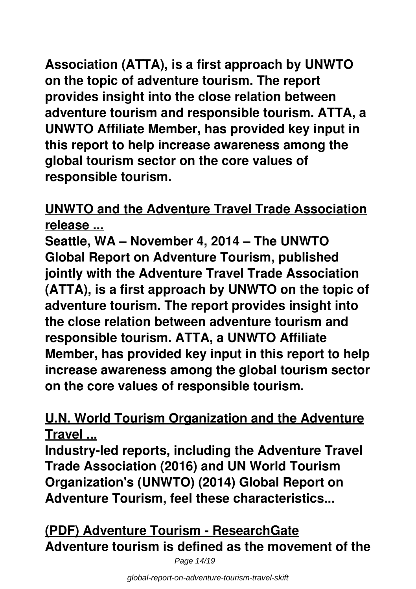**Association (ATTA), is a first approach by UNWTO on the topic of adventure tourism. The report provides insight into the close relation between adventure tourism and responsible tourism. ATTA, a UNWTO Affiliate Member, has provided key input in this report to help increase awareness among the global tourism sector on the core values of responsible tourism.**

### **UNWTO and the Adventure Travel Trade Association release ...**

**Seattle, WA – November 4, 2014 – The UNWTO Global Report on Adventure Tourism, published jointly with the Adventure Travel Trade Association (ATTA), is a first approach by UNWTO on the topic of adventure tourism. The report provides insight into the close relation between adventure tourism and responsible tourism. ATTA, a UNWTO Affiliate Member, has provided key input in this report to help increase awareness among the global tourism sector on the core values of responsible tourism.**

### **U.N. World Tourism Organization and the Adventure Travel ...**

**Industry-led reports, including the Adventure Travel Trade Association (2016) and UN World Tourism Organization's (UNWTO) (2014) Global Report on Adventure Tourism, feel these characteristics...**

**(PDF) Adventure Tourism - ResearchGate Adventure tourism is defined as the movement of the**

Page 14/19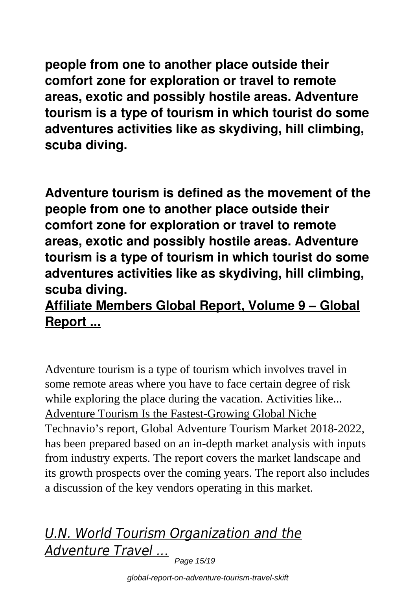**people from one to another place outside their comfort zone for exploration or travel to remote areas, exotic and possibly hostile areas. Adventure tourism is a type of tourism in which tourist do some adventures activities like as skydiving, hill climbing, scuba diving.**

**Adventure tourism is defined as the movement of the people from one to another place outside their comfort zone for exploration or travel to remote areas, exotic and possibly hostile areas. Adventure tourism is a type of tourism in which tourist do some adventures activities like as skydiving, hill climbing, scuba diving.**

# **Affiliate Members Global Report, Volume 9 – Global Report ...**

Adventure tourism is a type of tourism which involves travel in some remote areas where you have to face certain degree of risk while exploring the place during the vacation. Activities like... Adventure Tourism Is the Fastest-Growing Global Niche Technavio's report, Global Adventure Tourism Market 2018-2022, has been prepared based on an in-depth market analysis with inputs from industry experts. The report covers the market landscape and its growth prospects over the coming years. The report also includes a discussion of the key vendors operating in this market.

# *U.N. World Tourism Organization and the Adventure Travel ...* Page 15/19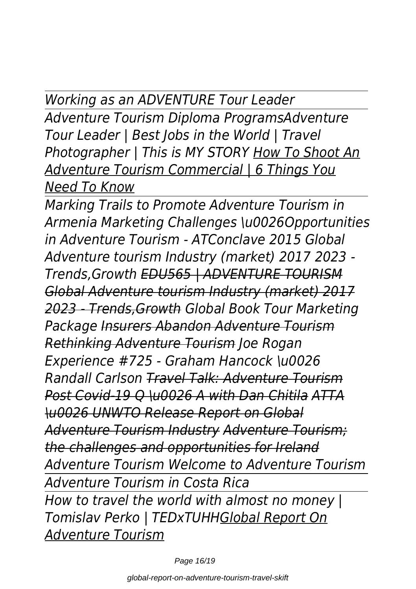*Working as an ADVENTURE Tour Leader*

*Adventure Tourism Diploma ProgramsAdventure Tour Leader | Best Jobs in the World | Travel Photographer | This is MY STORY How To Shoot An Adventure Tourism Commercial | 6 Things You Need To Know*

*Marking Trails to Promote Adventure Tourism in Armenia Marketing Challenges \u0026Opportunities in Adventure Tourism - ATConclave 2015 Global Adventure tourism Industry (market) 2017 2023 - Trends,Growth EDU565 | ADVENTURE TOURISM Global Adventure tourism Industry (market) 2017 2023 - Trends,Growth Global Book Tour Marketing Package Insurers Abandon Adventure Tourism Rethinking Adventure Tourism Joe Rogan Experience #725 - Graham Hancock \u0026 Randall Carlson Travel Talk: Adventure Tourism Post Covid-19 Q \u0026 A with Dan Chitila ATTA \u0026 UNWTO Release Report on Global Adventure Tourism Industry Adventure Tourism; the challenges and opportunities for Ireland Adventure Tourism Welcome to Adventure Tourism Adventure Tourism in Costa Rica How to travel the world with almost no money | Tomislav Perko | TEDxTUHHGlobal Report On Adventure Tourism*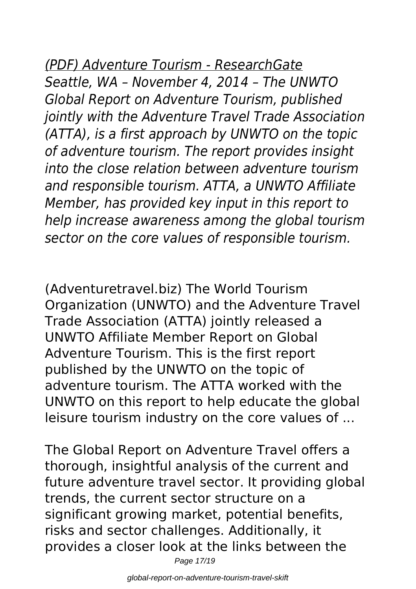# *(PDF) Adventure Tourism - ResearchGate*

*Seattle, WA – November 4, 2014 – The UNWTO Global Report on Adventure Tourism, published jointly with the Adventure Travel Trade Association (ATTA), is a first approach by UNWTO on the topic of adventure tourism. The report provides insight into the close relation between adventure tourism and responsible tourism. ATTA, a UNWTO Affiliate Member, has provided key input in this report to help increase awareness among the global tourism sector on the core values of responsible tourism.*

(Adventuretravel.biz) The World Tourism Organization (UNWTO) and the Adventure Travel Trade Association (ATTA) jointly released a UNWTO Affiliate Member Report on Global Adventure Tourism. This is the first report published by the UNWTO on the topic of adventure tourism. The ATTA worked with the UNWTO on this report to help educate the global leisure tourism industry on the core values of ...

The Global Report on Adventure Travel offers a thorough, insightful analysis of the current and future adventure travel sector. It providing global trends, the current sector structure on a significant growing market, potential benefits, risks and sector challenges. Additionally, it provides a closer look at the links between the

Page 17/19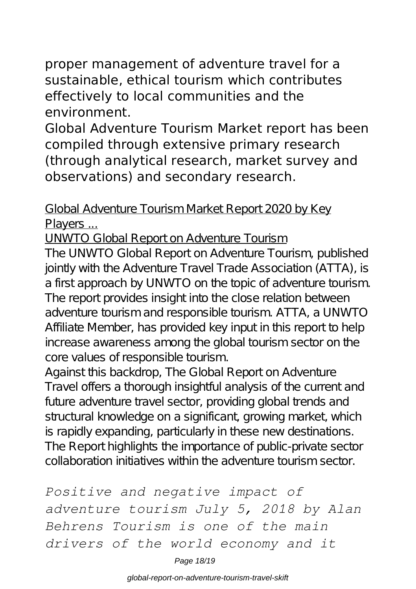proper management of adventure travel for a sustainable, ethical tourism which contributes effectively to local communities and the environment.

Global Adventure Tourism Market report has been compiled through extensive primary research (through analytical research, market survey and observations) and secondary research.

Global Adventure Tourism Market Report 2020 by Key Players ...

UNWTO Global Report on Adventure Tourism

The UNWTO Global Report on Adventure Tourism, published jointly with the Adventure Travel Trade Association (ATTA), is a first approach by UNWTO on the topic of adventure tourism. The report provides insight into the close relation between adventure tourism and responsible tourism. ATTA, a UNWTO Affiliate Member, has provided key input in this report to help increase awareness among the global tourism sector on the core values of responsible tourism.

Against this backdrop, The Global Report on Adventure Travel offers a thorough insightful analysis of the current and future adventure travel sector, providing global trends and structural knowledge on a significant, growing market, which is rapidly expanding, particularly in these new destinations. The Report highlights the importance of public-private sector collaboration initiatives within the adventure tourism sector.

*Positive and negative impact of adventure tourism July 5, 2018 by Alan Behrens Tourism is one of the main drivers of the world economy and it*

Page 18/19